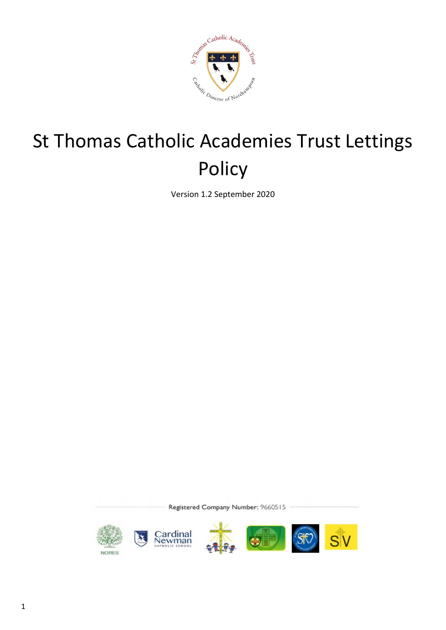

# St Thomas Catholic Academies Trust Lettings Policy

Version 1.2 September 2020

Registered Company Number: 9660515

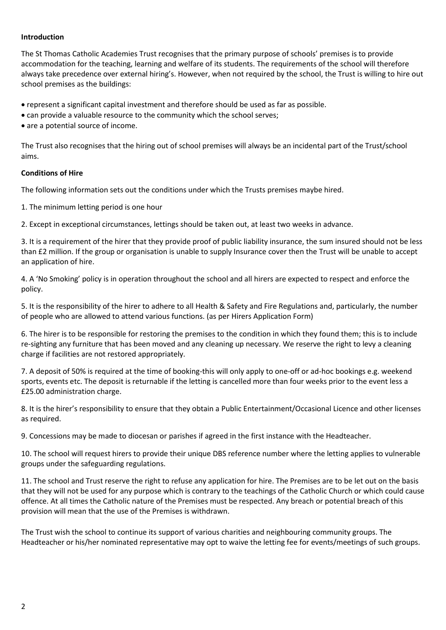#### **Introduction**

The St Thomas Catholic Academies Trust recognises that the primary purpose of schools' premises is to provide accommodation for the teaching, learning and welfare of its students. The requirements of the school will therefore always take precedence over external hiring's. However, when not required by the school, the Trust is willing to hire out school premises as the buildings:

• represent a significant capital investment and therefore should be used as far as possible.

- can provide a valuable resource to the community which the school serves;
- are a potential source of income.

The Trust also recognises that the hiring out of school premises will always be an incidental part of the Trust/school aims.

#### **Conditions of Hire**

The following information sets out the conditions under which the Trusts premises maybe hired.

1. The minimum letting period is one hour

2. Except in exceptional circumstances, lettings should be taken out, at least two weeks in advance.

3. It is a requirement of the hirer that they provide proof of public liability insurance, the sum insured should not be less than £2 million. If the group or organisation is unable to supply Insurance cover then the Trust will be unable to accept an application of hire.

4. A 'No Smoking' policy is in operation throughout the school and all hirers are expected to respect and enforce the policy.

5. It is the responsibility of the hirer to adhere to all Health & Safety and Fire Regulations and, particularly, the number of people who are allowed to attend various functions. (as per Hirers Application Form)

6. The hirer is to be responsible for restoring the premises to the condition in which they found them; this is to include re-sighting any furniture that has been moved and any cleaning up necessary. We reserve the right to levy a cleaning charge if facilities are not restored appropriately.

7. A deposit of 50% is required at the time of booking-this will only apply to one-off or ad-hoc bookings e.g. weekend sports, events etc. The deposit is returnable if the letting is cancelled more than four weeks prior to the event less a £25.00 administration charge.

8. It is the hirer's responsibility to ensure that they obtain a Public Entertainment/Occasional Licence and other licenses as required.

9. Concessions may be made to diocesan or parishes if agreed in the first instance with the Headteacher.

10. The school will request hirers to provide their unique DBS reference number where the letting applies to vulnerable groups under the safeguarding regulations.

11. The school and Trust reserve the right to refuse any application for hire. The Premises are to be let out on the basis that they will not be used for any purpose which is contrary to the teachings of the Catholic Church or which could cause offence. At all times the Catholic nature of the Premises must be respected. Any breach or potential breach of this provision will mean that the use of the Premises is withdrawn.

The Trust wish the school to continue its support of various charities and neighbouring community groups. The Headteacher or his/her nominated representative may opt to waive the letting fee for events/meetings of such groups.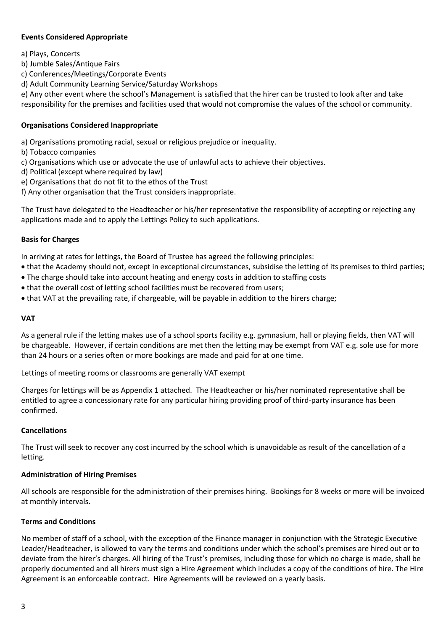#### **Events Considered Appropriate**

- a) Plays, Concerts
- b) Jumble Sales/Antique Fairs
- c) Conferences/Meetings/Corporate Events
- d) Adult Community Learning Service/Saturday Workshops

e) Any other event where the school's Management is satisfied that the hirer can be trusted to look after and take responsibility for the premises and facilities used that would not compromise the values of the school or community.

#### **Organisations Considered Inappropriate**

- a) Organisations promoting racial, sexual or religious prejudice or inequality.
- b) Tobacco companies
- c) Organisations which use or advocate the use of unlawful acts to achieve their objectives.
- d) Political (except where required by law)
- e) Organisations that do not fit to the ethos of the Trust
- f) Any other organisation that the Trust considers inappropriate.

The Trust have delegated to the Headteacher or his/her representative the responsibility of accepting or rejecting any applications made and to apply the Lettings Policy to such applications.

#### **Basis for Charges**

In arriving at rates for lettings, the Board of Trustee has agreed the following principles:

- that the Academy should not, except in exceptional circumstances, subsidise the letting of its premises to third parties;
- The charge should take into account heating and energy costs in addition to staffing costs
- that the overall cost of letting school facilities must be recovered from users;
- that VAT at the prevailing rate, if chargeable, will be payable in addition to the hirers charge;

#### **VAT**

As a general rule if the letting makes use of a school sports facility e.g. gymnasium, hall or playing fields, then VAT will be chargeable. However, if certain conditions are met then the letting may be exempt from VAT e.g. sole use for more than 24 hours or a series often or more bookings are made and paid for at one time.

Lettings of meeting rooms or classrooms are generally VAT exempt

Charges for lettings will be as Appendix 1 attached. The Headteacher or his/her nominated representative shall be entitled to agree a concessionary rate for any particular hiring providing proof of third-party insurance has been confirmed.

#### **Cancellations**

The Trust will seek to recover any cost incurred by the school which is unavoidable as result of the cancellation of a letting.

#### **Administration of Hiring Premises**

All schools are responsible for the administration of their premises hiring. Bookings for 8 weeks or more will be invoiced at monthly intervals.

### **Terms and Conditions**

No member of staff of a school, with the exception of the Finance manager in conjunction with the Strategic Executive Leader/Headteacher, is allowed to vary the terms and conditions under which the school's premises are hired out or to deviate from the hirer's charges. All hiring of the Trust's premises, including those for which no charge is made, shall be properly documented and all hirers must sign a Hire Agreement which includes a copy of the conditions of hire. The Hire Agreement is an enforceable contract. Hire Agreements will be reviewed on a yearly basis.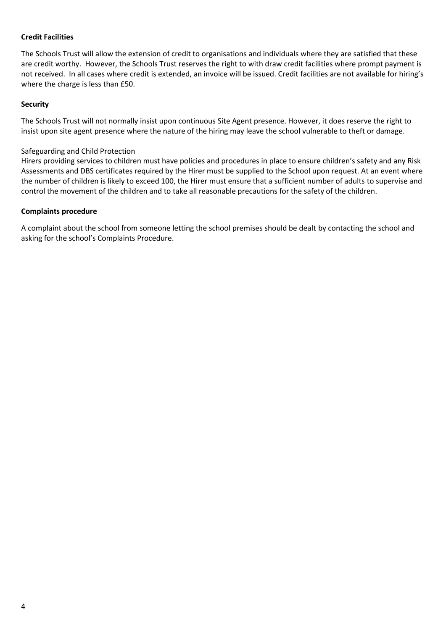## **Credit Facilities**

The Schools Trust will allow the extension of credit to organisations and individuals where they are satisfied that these are credit worthy. However, the Schools Trust reserves the right to with draw credit facilities where prompt payment is not received. In all cases where credit is extended, an invoice will be issued. Credit facilities are not available for hiring's where the charge is less than £50.

#### **Security**

The Schools Trust will not normally insist upon continuous Site Agent presence. However, it does reserve the right to insist upon site agent presence where the nature of the hiring may leave the school vulnerable to theft or damage.

#### Safeguarding and Child Protection

Hirers providing services to children must have policies and procedures in place to ensure children's safety and any Risk Assessments and DBS certificates required by the Hirer must be supplied to the School upon request. At an event where the number of children is likely to exceed 100, the Hirer must ensure that a sufficient number of adults to supervise and control the movement of the children and to take all reasonable precautions for the safety of the children.

#### **Complaints procedure**

A complaint about the school from someone letting the school premises should be dealt by contacting the school and asking for the school's Complaints Procedure.